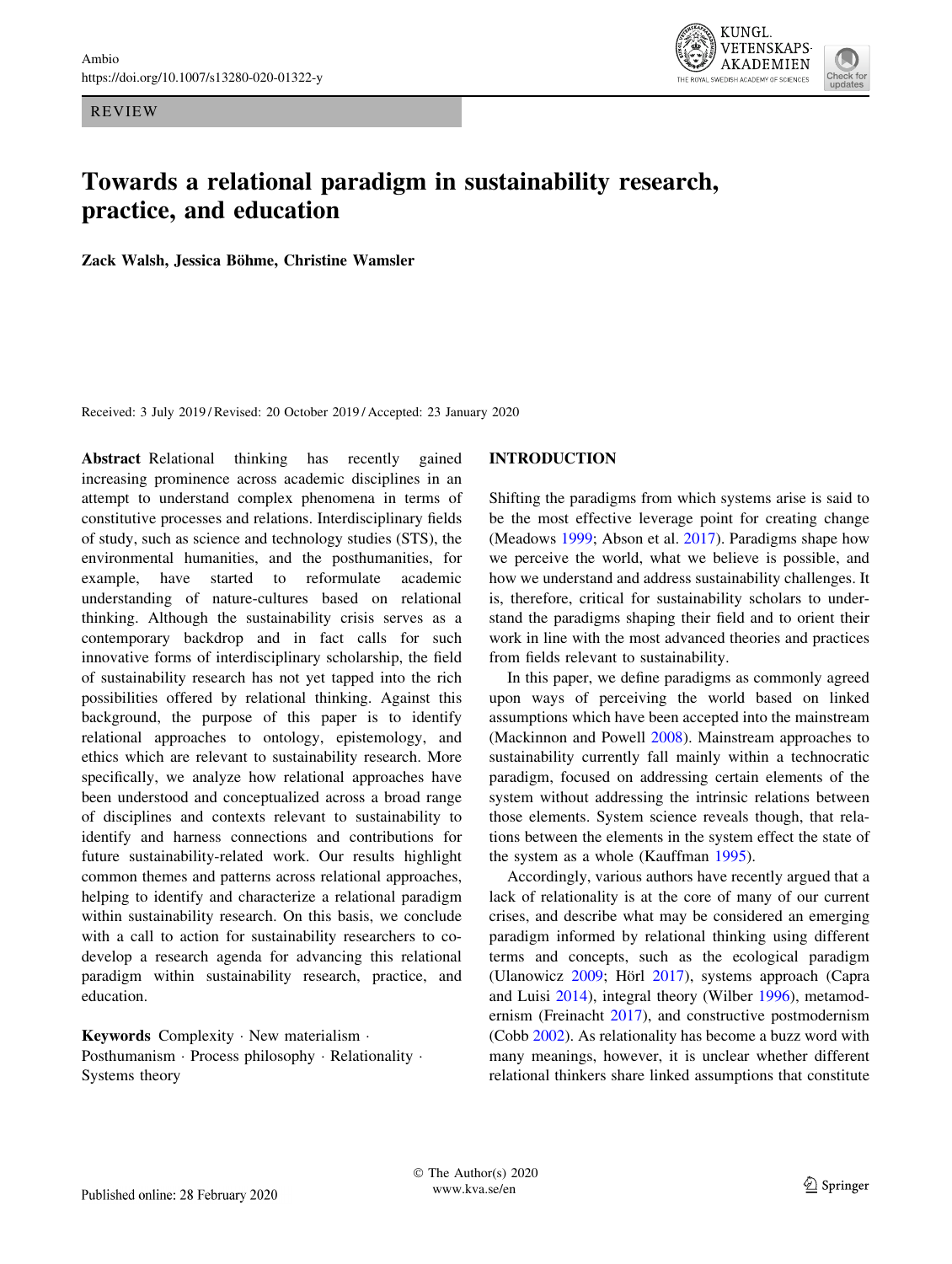REVIEW



# Towards a relational paradigm in sustainability research, practice, and education

Zack Walsh, Jessica Böhme, Christine Wamsler

Received: 3 July 2019 / Revised: 20 October 2019 / Accepted: 23 January 2020

Abstract Relational thinking has recently gained increasing prominence across academic disciplines in an attempt to understand complex phenomena in terms of constitutive processes and relations. Interdisciplinary fields of study, such as science and technology studies (STS), the environmental humanities, and the posthumanities, for example, have started to reformulate academic understanding of nature-cultures based on relational thinking. Although the sustainability crisis serves as a contemporary backdrop and in fact calls for such innovative forms of interdisciplinary scholarship, the field of sustainability research has not yet tapped into the rich possibilities offered by relational thinking. Against this background, the purpose of this paper is to identify relational approaches to ontology, epistemology, and ethics which are relevant to sustainability research. More specifically, we analyze how relational approaches have been understood and conceptualized across a broad range of disciplines and contexts relevant to sustainability to identify and harness connections and contributions for future sustainability-related work. Our results highlight common themes and patterns across relational approaches, helping to identify and characterize a relational paradigm within sustainability research. On this basis, we conclude with a call to action for sustainability researchers to codevelop a research agenda for advancing this relational paradigm within sustainability research, practice, and education.

Keywords Complexity · New materialism · Posthumanism · Process philosophy · Relationality · Systems theory

#### INTRODUCTION

Shifting the paradigms from which systems arise is said to be the most effective leverage point for creating change (Meadows [1999;](#page-9-0) Abson et al. [2017\)](#page-7-0). Paradigms shape how we perceive the world, what we believe is possible, and how we understand and address sustainability challenges. It is, therefore, critical for sustainability scholars to understand the paradigms shaping their field and to orient their work in line with the most advanced theories and practices from fields relevant to sustainability.

In this paper, we define paradigms as commonly agreed upon ways of perceiving the world based on linked assumptions which have been accepted into the mainstream (Mackinnon and Powell [2008](#page-8-0)). Mainstream approaches to sustainability currently fall mainly within a technocratic paradigm, focused on addressing certain elements of the system without addressing the intrinsic relations between those elements. System science reveals though, that relations between the elements in the system effect the state of the system as a whole (Kauffman [1995](#page-8-0)).

Accordingly, various authors have recently argued that a lack of relationality is at the core of many of our current crises, and describe what may be considered an emerging paradigm informed by relational thinking using different terms and concepts, such as the ecological paradigm (Ulanowicz  $2009$ ; Hörl  $2017$ ), systems approach (Capra and Luisi [2014\)](#page-7-0), integral theory (Wilber [1996](#page-10-0)), metamodernism (Freinacht [2017](#page-8-0)), and constructive postmodernism (Cobb [2002](#page-7-0)). As relationality has become a buzz word with many meanings, however, it is unclear whether different relational thinkers share linked assumptions that constitute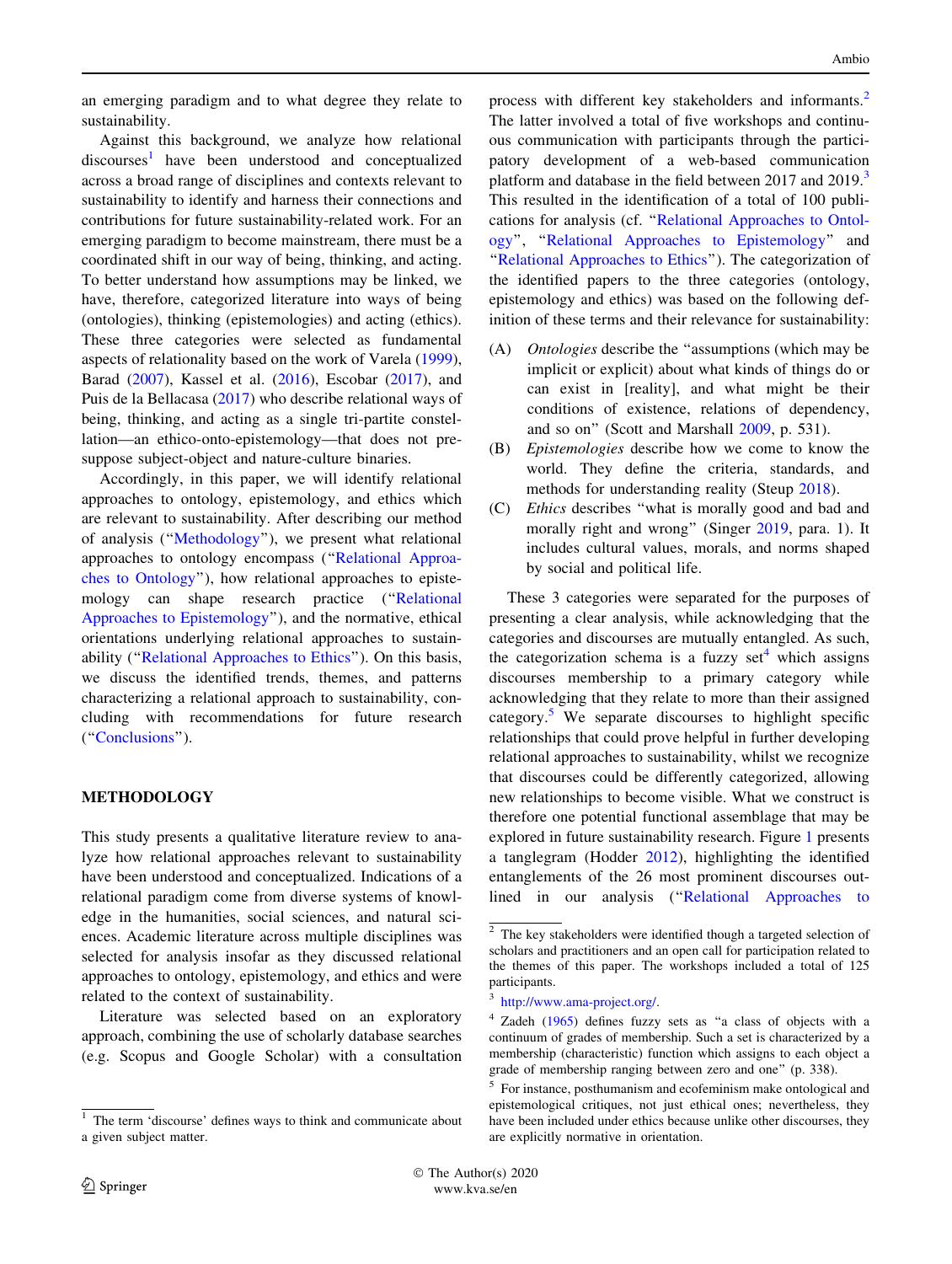an emerging paradigm and to what degree they relate to sustainability.

Against this background, we analyze how relational discourses<sup>1</sup> have been understood and conceptualized across a broad range of disciplines and contexts relevant to sustainability to identify and harness their connections and contributions for future sustainability-related work. For an emerging paradigm to become mainstream, there must be a coordinated shift in our way of being, thinking, and acting. To better understand how assumptions may be linked, we have, therefore, categorized literature into ways of being (ontologies), thinking (epistemologies) and acting (ethics). These three categories were selected as fundamental aspects of relationality based on the work of Varela [\(1999](#page-10-0)), Barad ([2007\)](#page-7-0), Kassel et al. ([2016\)](#page-8-0), Escobar [\(2017](#page-8-0)), and Puis de la Bellacasa [\(2017](#page-9-0)) who describe relational ways of being, thinking, and acting as a single tri-partite constellation—an ethico-onto-epistemology—that does not presuppose subject-object and nature-culture binaries.

Accordingly, in this paper, we will identify relational approaches to ontology, epistemology, and ethics which are relevant to sustainability. After describing our method of analysis (''Methodology''), we present what relational approaches to ontology encompass ('['Relational Approa](#page-2-0)[ches to Ontology'](#page-2-0)'), how relational approaches to epistemology can shape research practice (''[Relational](#page-3-0) [Approaches to Epistemology](#page-3-0)''), and the normative, ethical orientations underlying relational approaches to sustainability (''[Relational Approaches to Ethics'](#page-5-0)'). On this basis, we discuss the identified trends, themes, and patterns characterizing a relational approach to sustainability, concluding with recommendations for future research (''[Conclusions](#page-6-0)'').

### METHODOLOGY

This study presents a qualitative literature review to analyze how relational approaches relevant to sustainability have been understood and conceptualized. Indications of a relational paradigm come from diverse systems of knowledge in the humanities, social sciences, and natural sciences. Academic literature across multiple disciplines was selected for analysis insofar as they discussed relational approaches to ontology, epistemology, and ethics and were related to the context of sustainability.

Literature was selected based on an exploratory approach, combining the use of scholarly database searches (e.g. Scopus and Google Scholar) with a consultation

process with different key stakeholders and informants.<sup>2</sup> The latter involved a total of five workshops and continuous communication with participants through the participatory development of a web-based communication platform and database in the field between 2017 and 2019.<sup>3</sup> This resulted in the identification of a total of 100 publications for analysis (cf. '['Relational Approaches to Ontol](#page-2-0)[ogy](#page-2-0)'', '['Relational Approaches to Epistemology'](#page-3-0)' and ''[Relational Approaches to Ethics'](#page-5-0)'). The categorization of the identified papers to the three categories (ontology, epistemology and ethics) was based on the following definition of these terms and their relevance for sustainability:

- (A) Ontologies describe the ''assumptions (which may be implicit or explicit) about what kinds of things do or can exist in [reality], and what might be their conditions of existence, relations of dependency, and so on'' (Scott and Marshall [2009,](#page-9-0) p. 531).
- (B) Epistemologies describe how we come to know the world. They define the criteria, standards, and methods for understanding reality (Steup [2018\)](#page-9-0).
- (C) Ethics describes ''what is morally good and bad and morally right and wrong'' (Singer [2019,](#page-9-0) para. 1). It includes cultural values, morals, and norms shaped by social and political life.

These 3 categories were separated for the purposes of presenting a clear analysis, while acknowledging that the categories and discourses are mutually entangled. As such, the categorization schema is a fuzzy set $<sup>4</sup>$  which assigns</sup> discourses membership to a primary category while acknowledging that they relate to more than their assigned category.<sup>5</sup> We separate discourses to highlight specific relationships that could prove helpful in further developing relational approaches to sustainability, whilst we recognize that discourses could be differently categorized, allowing new relationships to become visible. What we construct is therefore one potential functional assemblage that may be explored in future sustainability research. Figure [1](#page-2-0) presents a tanglegram (Hodder [2012](#page-8-0)), highlighting the identified entanglements of the 26 most prominent discourses out-lined in our analysis ("[Relational Approaches to](#page-2-0)

<sup>1</sup> The term 'discourse' defines ways to think and communicate about a given subject matter.

<sup>&</sup>lt;sup>2</sup> The key stakeholders were identified though a targeted selection of scholars and practitioners and an open call for participation related to the themes of this paper. The workshops included a total of 125 participants.

<sup>3</sup> [http://www.ama-project.org/.](http://www.ama-project.org/)

<sup>4</sup> Zadeh [\(1965](#page-10-0)) defines fuzzy sets as ''a class of objects with a continuum of grades of membership. Such a set is characterized by a membership (characteristic) function which assigns to each object a grade of membership ranging between zero and one'' (p. 338).

<sup>5</sup> For instance, posthumanism and ecofeminism make ontological and epistemological critiques, not just ethical ones; nevertheless, they have been included under ethics because unlike other discourses, they are explicitly normative in orientation.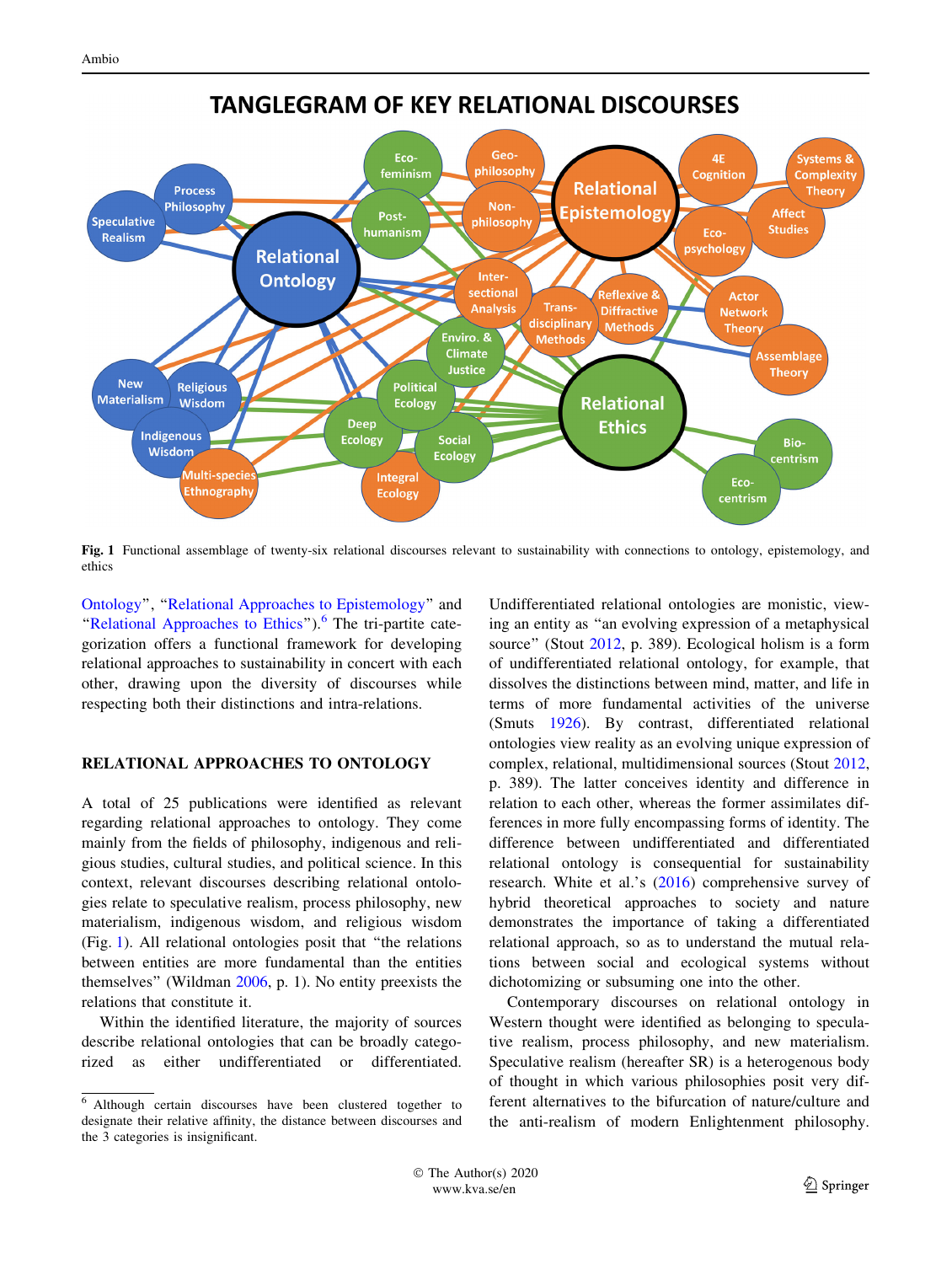<span id="page-2-0"></span>

**TANGLEGRAM OF KEY RELATIONAL DISCOURSES** 

Fig. 1 Functional assemblage of twenty-six relational discourses relevant to sustainability with connections to ontology, epistemology, and ethics

Ontology'', '['Relational Approaches to Epistemology](#page-3-0)'' and "Relational Approaches to Ethics"). $<sup>6</sup>$  The tri-partite cate-</sup> gorization offers a functional framework for developing relational approaches to sustainability in concert with each other, drawing upon the diversity of discourses while respecting both their distinctions and intra-relations.

#### RELATIONAL APPROACHES TO ONTOLOGY

A total of 25 publications were identified as relevant regarding relational approaches to ontology. They come mainly from the fields of philosophy, indigenous and religious studies, cultural studies, and political science. In this context, relevant discourses describing relational ontologies relate to speculative realism, process philosophy, new materialism, indigenous wisdom, and religious wisdom (Fig. 1). All relational ontologies posit that ''the relations between entities are more fundamental than the entities themselves'' (Wildman [2006,](#page-10-0) p. 1). No entity preexists the relations that constitute it.

Within the identified literature, the majority of sources describe relational ontologies that can be broadly categorized as either undifferentiated or differentiated.

Undifferentiated relational ontologies are monistic, viewing an entity as ''an evolving expression of a metaphysical source'' (Stout [2012,](#page-9-0) p. 389). Ecological holism is a form of undifferentiated relational ontology, for example, that dissolves the distinctions between mind, matter, and life in terms of more fundamental activities of the universe (Smuts [1926\)](#page-9-0). By contrast, differentiated relational ontologies view reality as an evolving unique expression of complex, relational, multidimensional sources (Stout [2012,](#page-9-0) p. 389). The latter conceives identity and difference in relation to each other, whereas the former assimilates differences in more fully encompassing forms of identity. The difference between undifferentiated and differentiated relational ontology is consequential for sustainability research. White et al.'s ([2016\)](#page-10-0) comprehensive survey of hybrid theoretical approaches to society and nature demonstrates the importance of taking a differentiated relational approach, so as to understand the mutual relations between social and ecological systems without dichotomizing or subsuming one into the other.

Contemporary discourses on relational ontology in Western thought were identified as belonging to speculative realism, process philosophy, and new materialism. Speculative realism (hereafter SR) is a heterogenous body of thought in which various philosophies posit very different alternatives to the bifurcation of nature/culture and the anti-realism of modern Enlightenment philosophy.

<sup>6</sup> Although certain discourses have been clustered together to designate their relative affinity, the distance between discourses and the 3 categories is insignificant.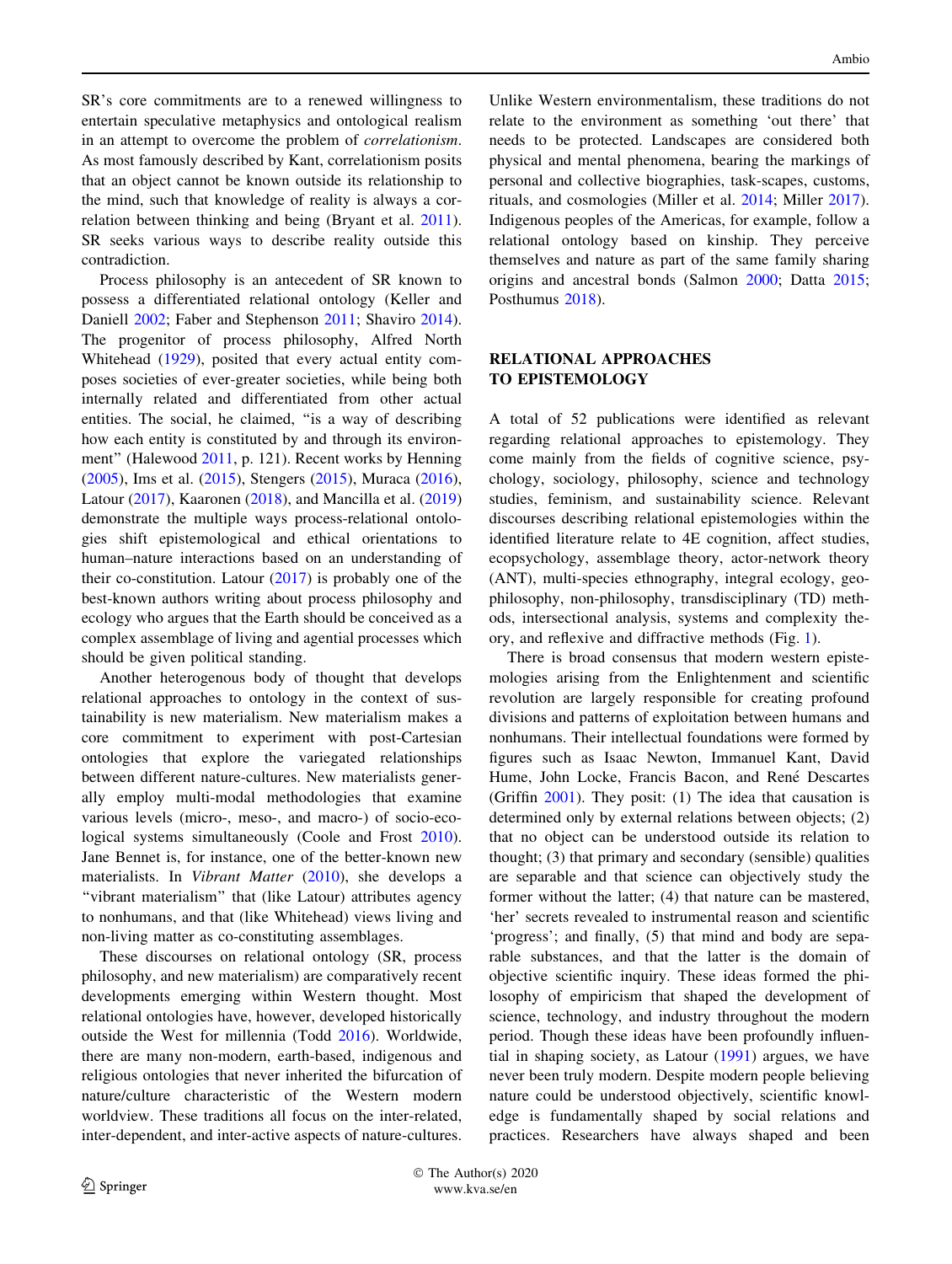<span id="page-3-0"></span>SR's core commitments are to a renewed willingness to entertain speculative metaphysics and ontological realism in an attempt to overcome the problem of correlationism. As most famously described by Kant, correlationism posits that an object cannot be known outside its relationship to the mind, such that knowledge of reality is always a correlation between thinking and being (Bryant et al. [2011](#page-7-0)). SR seeks various ways to describe reality outside this contradiction.

Process philosophy is an antecedent of SR known to possess a differentiated relational ontology (Keller and Daniell [2002;](#page-8-0) Faber and Stephenson [2011;](#page-8-0) Shaviro [2014](#page-9-0)). The progenitor of process philosophy, Alfred North Whitehead [\(1929](#page-10-0)), posited that every actual entity composes societies of ever-greater societies, while being both internally related and differentiated from other actual entities. The social, he claimed, ''is a way of describing how each entity is constituted by and through its environment'' (Halewood [2011](#page-8-0), p. 121). Recent works by Henning [\(2005](#page-8-0)), Ims et al. ([2015\)](#page-8-0), Stengers ([2015](#page-9-0)), Muraca [\(2016](#page-9-0)), Latour ([2017\)](#page-8-0), Kaaronen ([2018\)](#page-8-0), and Mancilla et al. ([2019\)](#page-8-0) demonstrate the multiple ways process-relational ontologies shift epistemological and ethical orientations to human–nature interactions based on an understanding of their co-constitution. Latour  $(2017)$  $(2017)$  is probably one of the best-known authors writing about process philosophy and ecology who argues that the Earth should be conceived as a complex assemblage of living and agential processes which should be given political standing.

Another heterogenous body of thought that develops relational approaches to ontology in the context of sustainability is new materialism. New materialism makes a core commitment to experiment with post-Cartesian ontologies that explore the variegated relationships between different nature-cultures. New materialists generally employ multi-modal methodologies that examine various levels (micro-, meso-, and macro-) of socio-ecological systems simultaneously (Coole and Frost [2010](#page-7-0)). Jane Bennet is, for instance, one of the better-known new materialists. In Vibrant Matter ([2010](#page-7-0)), she develops a "vibrant materialism" that (like Latour) attributes agency to nonhumans, and that (like Whitehead) views living and non-living matter as co-constituting assemblages.

These discourses on relational ontology (SR, process philosophy, and new materialism) are comparatively recent developments emerging within Western thought. Most relational ontologies have, however, developed historically outside the West for millennia (Todd [2016\)](#page-10-0). Worldwide, there are many non-modern, earth-based, indigenous and religious ontologies that never inherited the bifurcation of nature/culture characteristic of the Western modern worldview. These traditions all focus on the inter-related, inter-dependent, and inter-active aspects of nature-cultures.

Unlike Western environmentalism, these traditions do not relate to the environment as something 'out there' that needs to be protected. Landscapes are considered both physical and mental phenomena, bearing the markings of personal and collective biographies, task-scapes, customs, rituals, and cosmologies (Miller et al. [2014;](#page-9-0) Miller [2017](#page-9-0)). Indigenous peoples of the Americas, for example, follow a relational ontology based on kinship. They perceive themselves and nature as part of the same family sharing origins and ancestral bonds (Salmon [2000;](#page-9-0) Datta [2015](#page-7-0); Posthumus [2018](#page-9-0)).

## RELATIONAL APPROACHES TO EPISTEMOLOGY

A total of 52 publications were identified as relevant regarding relational approaches to epistemology. They come mainly from the fields of cognitive science, psychology, sociology, philosophy, science and technology studies, feminism, and sustainability science. Relevant discourses describing relational epistemologies within the identified literature relate to 4E cognition, affect studies, ecopsychology, assemblage theory, actor-network theory (ANT), multi-species ethnography, integral ecology, geophilosophy, non-philosophy, transdisciplinary (TD) methods, intersectional analysis, systems and complexity theory, and reflexive and diffractive methods (Fig. [1](#page-2-0)).

There is broad consensus that modern western epistemologies arising from the Enlightenment and scientific revolution are largely responsible for creating profound divisions and patterns of exploitation between humans and nonhumans. Their intellectual foundations were formed by figures such as Isaac Newton, Immanuel Kant, David Hume, John Locke, Francis Bacon, and René Descartes (Griffin [2001\)](#page-8-0). They posit: (1) The idea that causation is determined only by external relations between objects; (2) that no object can be understood outside its relation to thought; (3) that primary and secondary (sensible) qualities are separable and that science can objectively study the former without the latter; (4) that nature can be mastered, 'her' secrets revealed to instrumental reason and scientific 'progress'; and finally, (5) that mind and body are separable substances, and that the latter is the domain of objective scientific inquiry. These ideas formed the philosophy of empiricism that shaped the development of science, technology, and industry throughout the modern period. Though these ideas have been profoundly influential in shaping society, as Latour [\(1991](#page-8-0)) argues, we have never been truly modern. Despite modern people believing nature could be understood objectively, scientific knowledge is fundamentally shaped by social relations and practices. Researchers have always shaped and been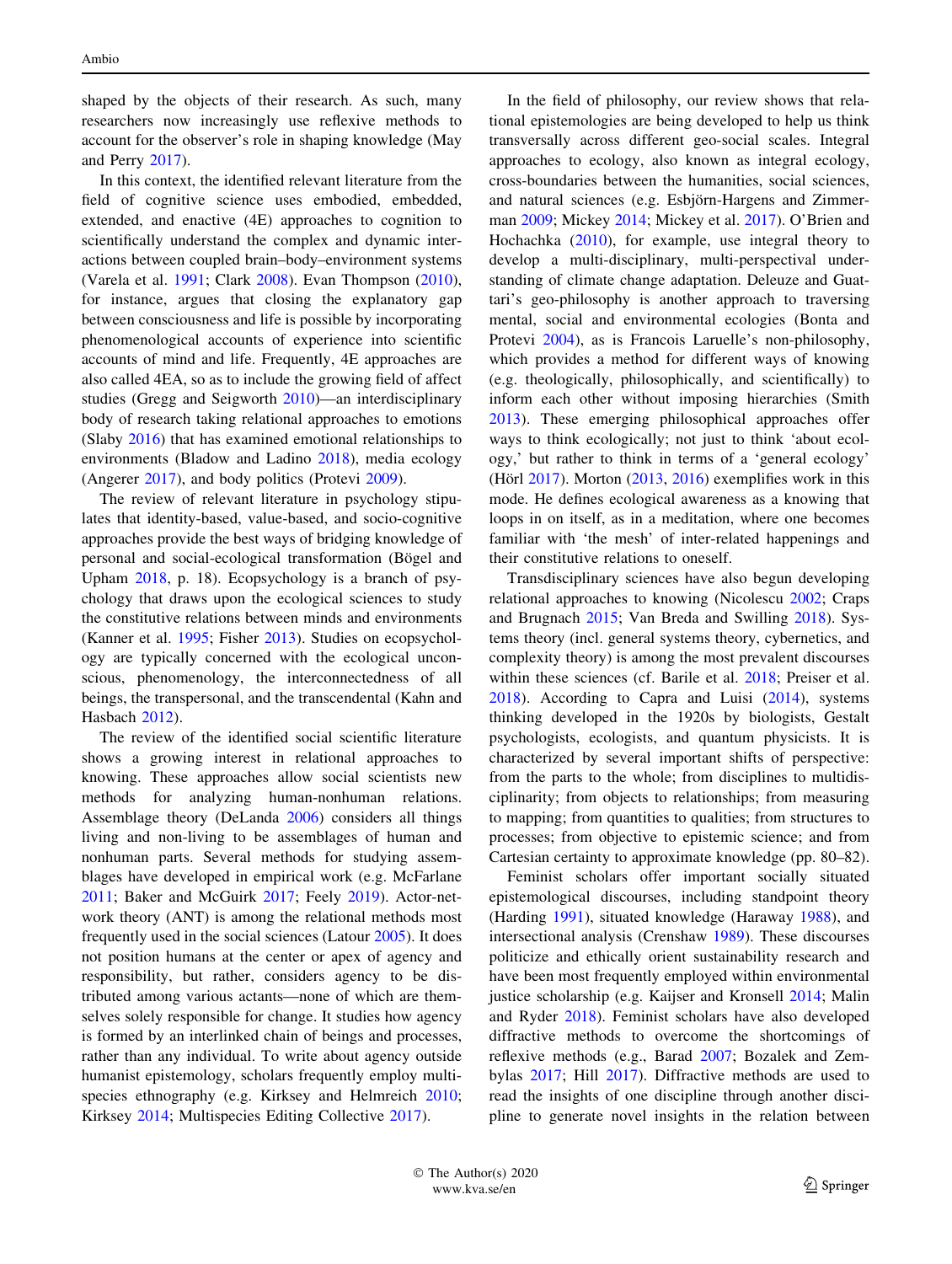shaped by the objects of their research. As such, many researchers now increasingly use reflexive methods to account for the observer's role in shaping knowledge (May and Perry [2017\)](#page-9-0).

In this context, the identified relevant literature from the field of cognitive science uses embodied, embedded, extended, and enactive (4E) approaches to cognition to scientifically understand the complex and dynamic interactions between coupled brain–body–environment systems (Varela et al. [1991;](#page-10-0) Clark [2008](#page-7-0)). Evan Thompson [\(2010](#page-10-0)), for instance, argues that closing the explanatory gap between consciousness and life is possible by incorporating phenomenological accounts of experience into scientific accounts of mind and life. Frequently, 4E approaches are also called 4EA, so as to include the growing field of affect studies (Gregg and Seigworth [2010](#page-8-0))—an interdisciplinary body of research taking relational approaches to emotions (Slaby [2016](#page-9-0)) that has examined emotional relationships to environments (Bladow and Ladino [2018\)](#page-7-0), media ecology (Angerer [2017](#page-7-0)), and body politics (Protevi [2009\)](#page-9-0).

The review of relevant literature in psychology stipulates that identity-based, value-based, and socio-cognitive approaches provide the best ways of bridging knowledge of personal and social-ecological transformation (Bögel and Upham [2018,](#page-7-0) p. 18). Ecopsychology is a branch of psychology that draws upon the ecological sciences to study the constitutive relations between minds and environments (Kanner et al. [1995;](#page-8-0) Fisher [2013](#page-8-0)). Studies on ecopsychology are typically concerned with the ecological unconscious, phenomenology, the interconnectedness of all beings, the transpersonal, and the transcendental (Kahn and Hasbach [2012\)](#page-8-0).

The review of the identified social scientific literature shows a growing interest in relational approaches to knowing. These approaches allow social scientists new methods for analyzing human-nonhuman relations. Assemblage theory (DeLanda [2006\)](#page-7-0) considers all things living and non-living to be assemblages of human and nonhuman parts. Several methods for studying assemblages have developed in empirical work (e.g. McFarlane [2011;](#page-9-0) Baker and McGuirk [2017;](#page-7-0) Feely [2019\)](#page-8-0). Actor-network theory (ANT) is among the relational methods most frequently used in the social sciences (Latour [2005](#page-8-0)). It does not position humans at the center or apex of agency and responsibility, but rather, considers agency to be distributed among various actants—none of which are themselves solely responsible for change. It studies how agency is formed by an interlinked chain of beings and processes, rather than any individual. To write about agency outside humanist epistemology, scholars frequently employ multispecies ethnography (e.g. Kirksey and Helmreich [2010](#page-8-0); Kirksey [2014;](#page-8-0) Multispecies Editing Collective [2017\)](#page-9-0).

In the field of philosophy, our review shows that relational epistemologies are being developed to help us think transversally across different geo-social scales. Integral approaches to ecology, also known as integral ecology, cross-boundaries between the humanities, social sciences, and natural sciences (e.g. Esbjörn-Hargens and Zimmerman [2009](#page-8-0); Mickey [2014;](#page-9-0) Mickey et al. [2017\)](#page-9-0). O'Brien and Hochachka ([2010\)](#page-9-0), for example, use integral theory to develop a multi-disciplinary, multi-perspectival understanding of climate change adaptation. Deleuze and Guattari's geo-philosophy is another approach to traversing mental, social and environmental ecologies (Bonta and Protevi [2004\)](#page-7-0), as is Francois Laruelle's non-philosophy, which provides a method for different ways of knowing (e.g. theologically, philosophically, and scientifically) to inform each other without imposing hierarchies (Smith [2013](#page-9-0)). These emerging philosophical approaches offer ways to think ecologically; not just to think 'about ecology,' but rather to think in terms of a 'general ecology' (Hörl  $2017$ ). Morton  $(2013, 2016)$  $(2013, 2016)$  $(2013, 2016)$  exemplifies work in this mode. He defines ecological awareness as a knowing that loops in on itself, as in a meditation, where one becomes familiar with 'the mesh' of inter-related happenings and their constitutive relations to oneself.

Transdisciplinary sciences have also begun developing relational approaches to knowing (Nicolescu [2002](#page-9-0); Craps and Brugnach [2015;](#page-7-0) Van Breda and Swilling [2018](#page-10-0)). Systems theory (incl. general systems theory, cybernetics, and complexity theory) is among the most prevalent discourses within these sciences (cf. Barile et al. [2018;](#page-7-0) Preiser et al. [2018](#page-9-0)). According to Capra and Luisi ([2014\)](#page-7-0), systems thinking developed in the 1920s by biologists, Gestalt psychologists, ecologists, and quantum physicists. It is characterized by several important shifts of perspective: from the parts to the whole; from disciplines to multidisciplinarity; from objects to relationships; from measuring to mapping; from quantities to qualities; from structures to processes; from objective to epistemic science; and from Cartesian certainty to approximate knowledge (pp. 80–82).

Feminist scholars offer important socially situated epistemological discourses, including standpoint theory (Harding [1991\)](#page-8-0), situated knowledge (Haraway [1988](#page-8-0)), and intersectional analysis (Crenshaw [1989](#page-7-0)). These discourses politicize and ethically orient sustainability research and have been most frequently employed within environmental justice scholarship (e.g. Kaijser and Kronsell [2014](#page-8-0); Malin and Ryder [2018](#page-8-0)). Feminist scholars have also developed diffractive methods to overcome the shortcomings of reflexive methods (e.g., Barad [2007](#page-7-0); Bozalek and Zembylas [2017;](#page-7-0) Hill [2017](#page-8-0)). Diffractive methods are used to read the insights of one discipline through another discipline to generate novel insights in the relation between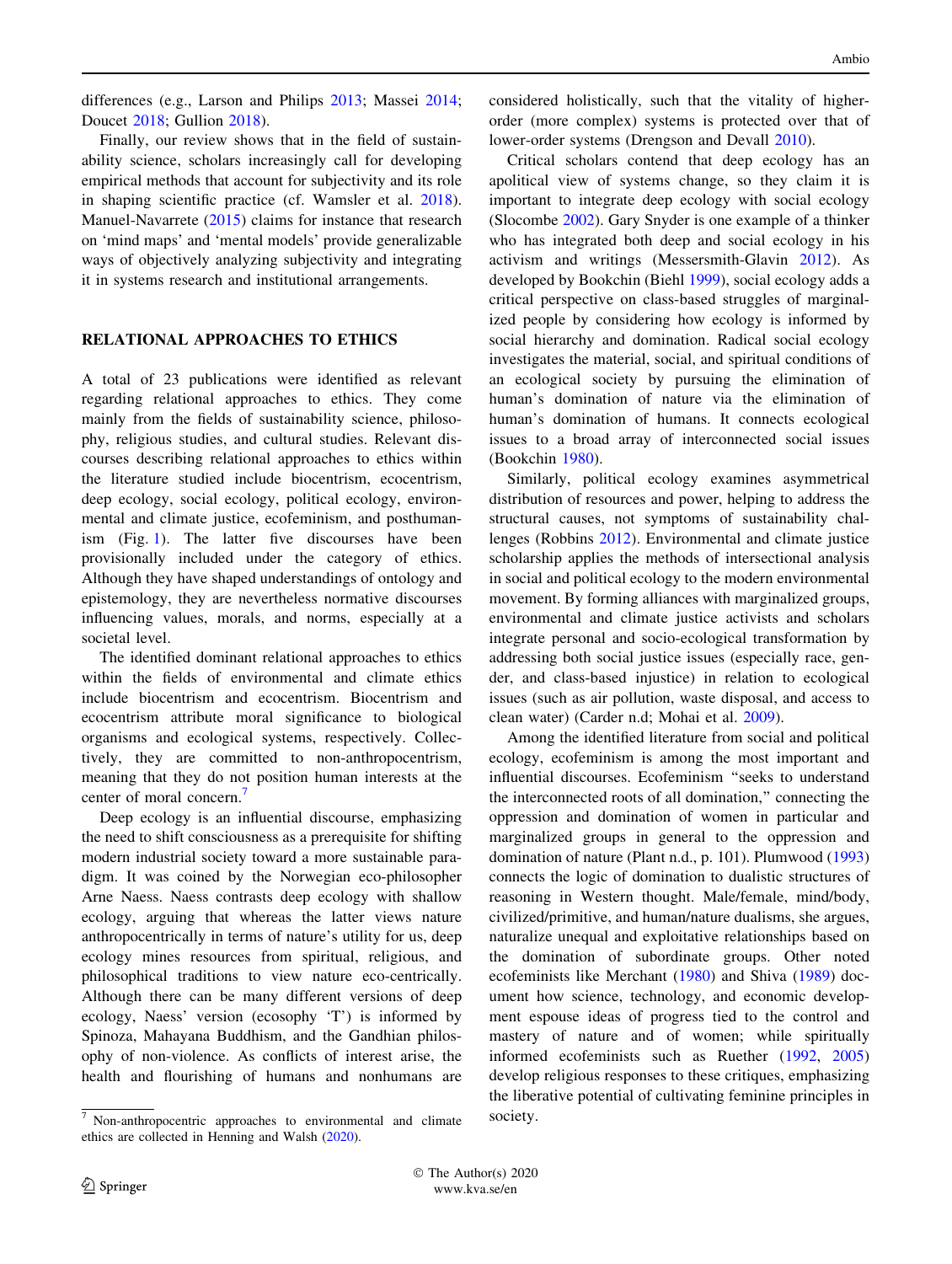<span id="page-5-0"></span>differences (e.g., Larson and Philips [2013;](#page-8-0) Massei [2014](#page-9-0); Doucet [2018](#page-7-0); Gullion [2018](#page-8-0)).

Finally, our review shows that in the field of sustainability science, scholars increasingly call for developing empirical methods that account for subjectivity and its role in shaping scientific practice (cf. Wamsler et al. [2018](#page-10-0)). Manuel-Navarrete ([2015\)](#page-9-0) claims for instance that research on 'mind maps' and 'mental models' provide generalizable ways of objectively analyzing subjectivity and integrating it in systems research and institutional arrangements.

## RELATIONAL APPROACHES TO ETHICS

A total of 23 publications were identified as relevant regarding relational approaches to ethics. They come mainly from the fields of sustainability science, philosophy, religious studies, and cultural studies. Relevant discourses describing relational approaches to ethics within the literature studied include biocentrism, ecocentrism, deep ecology, social ecology, political ecology, environmental and climate justice, ecofeminism, and posthumanism (Fig. [1\)](#page-2-0). The latter five discourses have been provisionally included under the category of ethics. Although they have shaped understandings of ontology and epistemology, they are nevertheless normative discourses influencing values, morals, and norms, especially at a societal level.

The identified dominant relational approaches to ethics within the fields of environmental and climate ethics include biocentrism and ecocentrism. Biocentrism and ecocentrism attribute moral significance to biological organisms and ecological systems, respectively. Collectively, they are committed to non-anthropocentrism, meaning that they do not position human interests at the center of moral concern.<sup>7</sup>

Deep ecology is an influential discourse, emphasizing the need to shift consciousness as a prerequisite for shifting modern industrial society toward a more sustainable paradigm. It was coined by the Norwegian eco-philosopher Arne Naess. Naess contrasts deep ecology with shallow ecology, arguing that whereas the latter views nature anthropocentrically in terms of nature's utility for us, deep ecology mines resources from spiritual, religious, and philosophical traditions to view nature eco-centrically. Although there can be many different versions of deep ecology, Naess' version (ecosophy 'T') is informed by Spinoza, Mahayana Buddhism, and the Gandhian philosophy of non-violence. As conflicts of interest arise, the health and flourishing of humans and nonhumans are considered holistically, such that the vitality of higherorder (more complex) systems is protected over that of lower-order systems (Drengson and Devall [2010\)](#page-7-0).

Critical scholars contend that deep ecology has an apolitical view of systems change, so they claim it is important to integrate deep ecology with social ecology (Slocombe [2002](#page-9-0)). Gary Snyder is one example of a thinker who has integrated both deep and social ecology in his activism and writings (Messersmith-Glavin [2012](#page-9-0)). As developed by Bookchin (Biehl [1999\)](#page-7-0), social ecology adds a critical perspective on class-based struggles of marginalized people by considering how ecology is informed by social hierarchy and domination. Radical social ecology investigates the material, social, and spiritual conditions of an ecological society by pursuing the elimination of human's domination of nature via the elimination of human's domination of humans. It connects ecological issues to a broad array of interconnected social issues (Bookchin [1980\)](#page-7-0).

Similarly, political ecology examines asymmetrical distribution of resources and power, helping to address the structural causes, not symptoms of sustainability challenges (Robbins [2012](#page-9-0)). Environmental and climate justice scholarship applies the methods of intersectional analysis in social and political ecology to the modern environmental movement. By forming alliances with marginalized groups, environmental and climate justice activists and scholars integrate personal and socio-ecological transformation by addressing both social justice issues (especially race, gender, and class-based injustice) in relation to ecological issues (such as air pollution, waste disposal, and access to clean water) (Carder n.d; Mohai et al. [2009](#page-9-0)).

Among the identified literature from social and political ecology, ecofeminism is among the most important and influential discourses. Ecofeminism ''seeks to understand the interconnected roots of all domination,'' connecting the oppression and domination of women in particular and marginalized groups in general to the oppression and domination of nature (Plant n.d., p. 101). Plumwood ([1993\)](#page-9-0) connects the logic of domination to dualistic structures of reasoning in Western thought. Male/female, mind/body, civilized/primitive, and human/nature dualisms, she argues, naturalize unequal and exploitative relationships based on the domination of subordinate groups. Other noted ecofeminists like Merchant ([1980\)](#page-9-0) and Shiva ([1989](#page-9-0)) document how science, technology, and economic development espouse ideas of progress tied to the control and mastery of nature and of women; while spiritually informed ecofeminists such as Ruether [\(1992](#page-9-0), [2005\)](#page-9-0) develop religious responses to these critiques, emphasizing the liberative potential of cultivating feminine principles in

 The Author(s) 2020 www.kva.se/en

 $\frac{7}{7}$  Non-anthropocentric approaches to environmental and climate society. ethics are collected in Henning and Walsh [\(2020](#page-8-0)).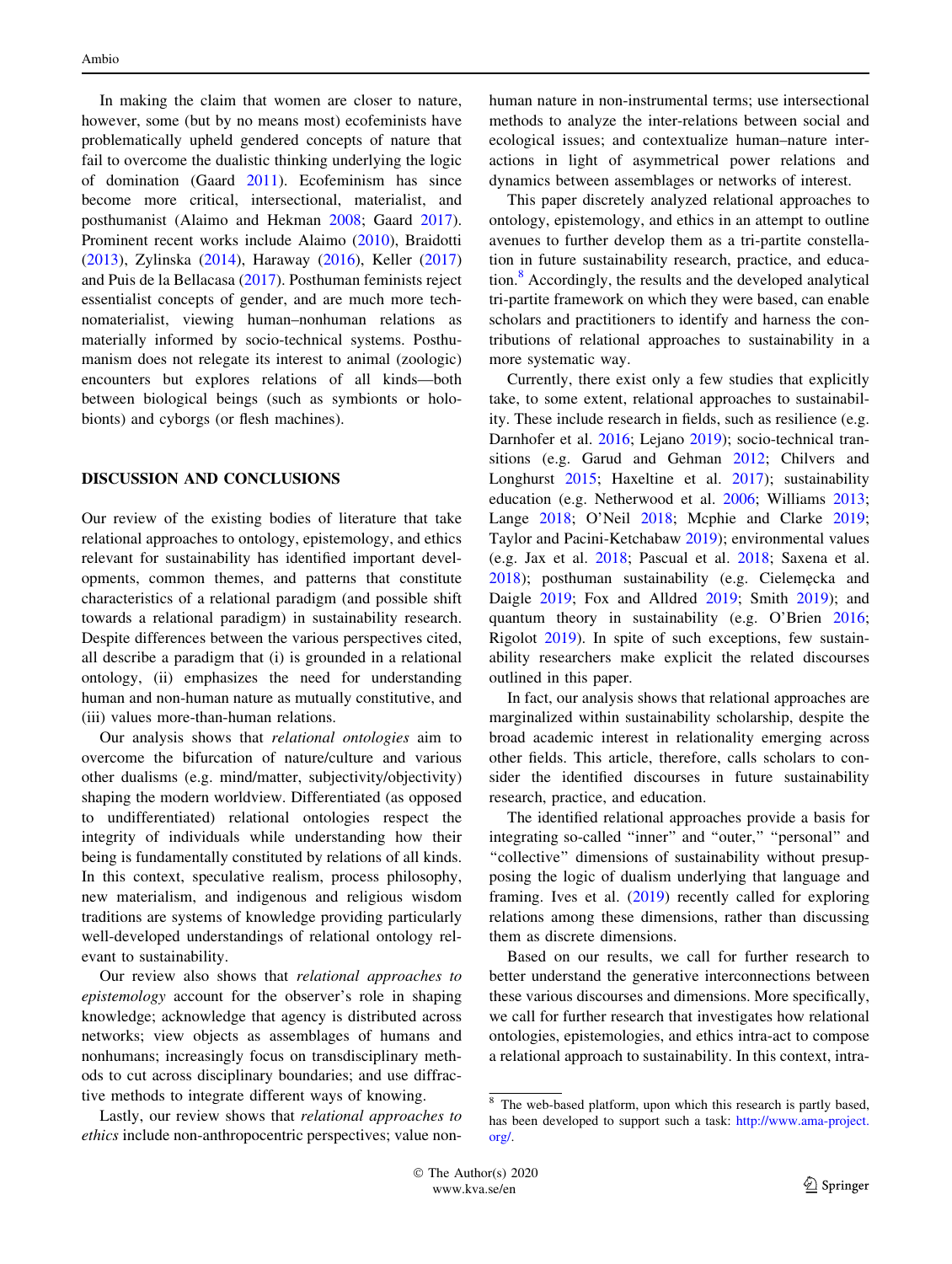<span id="page-6-0"></span>In making the claim that women are closer to nature, however, some (but by no means most) ecofeminists have problematically upheld gendered concepts of nature that fail to overcome the dualistic thinking underlying the logic of domination (Gaard [2011](#page-8-0)). Ecofeminism has since become more critical, intersectional, materialist, and posthumanist (Alaimo and Hekman [2008](#page-7-0); Gaard [2017](#page-8-0)). Prominent recent works include Alaimo ([2010\)](#page-7-0), Braidotti [\(2013](#page-7-0)), Zylinska ([2014\)](#page-10-0), Haraway [\(2016](#page-8-0)), Keller ([2017\)](#page-8-0) and Puis de la Bellacasa ([2017\)](#page-9-0). Posthuman feminists reject essentialist concepts of gender, and are much more technomaterialist, viewing human–nonhuman relations as materially informed by socio-technical systems. Posthumanism does not relegate its interest to animal (zoologic) encounters but explores relations of all kinds—both between biological beings (such as symbionts or holobionts) and cyborgs (or flesh machines).

## DISCUSSION AND CONCLUSIONS

Our review of the existing bodies of literature that take relational approaches to ontology, epistemology, and ethics relevant for sustainability has identified important developments, common themes, and patterns that constitute characteristics of a relational paradigm (and possible shift towards a relational paradigm) in sustainability research. Despite differences between the various perspectives cited, all describe a paradigm that (i) is grounded in a relational ontology, (ii) emphasizes the need for understanding human and non-human nature as mutually constitutive, and (iii) values more-than-human relations.

Our analysis shows that relational ontologies aim to overcome the bifurcation of nature/culture and various other dualisms (e.g. mind/matter, subjectivity/objectivity) shaping the modern worldview. Differentiated (as opposed to undifferentiated) relational ontologies respect the integrity of individuals while understanding how their being is fundamentally constituted by relations of all kinds. In this context, speculative realism, process philosophy, new materialism, and indigenous and religious wisdom traditions are systems of knowledge providing particularly well-developed understandings of relational ontology relevant to sustainability.

Our review also shows that relational approaches to epistemology account for the observer's role in shaping knowledge; acknowledge that agency is distributed across networks; view objects as assemblages of humans and nonhumans; increasingly focus on transdisciplinary methods to cut across disciplinary boundaries; and use diffractive methods to integrate different ways of knowing.

Lastly, our review shows that relational approaches to ethics include non-anthropocentric perspectives; value nonhuman nature in non-instrumental terms; use intersectional methods to analyze the inter-relations between social and ecological issues; and contextualize human–nature interactions in light of asymmetrical power relations and dynamics between assemblages or networks of interest.

This paper discretely analyzed relational approaches to ontology, epistemology, and ethics in an attempt to outline avenues to further develop them as a tri-partite constellation in future sustainability research, practice, and education.<sup>8</sup> Accordingly, the results and the developed analytical tri-partite framework on which they were based, can enable scholars and practitioners to identify and harness the contributions of relational approaches to sustainability in a more systematic way.

Currently, there exist only a few studies that explicitly take, to some extent, relational approaches to sustainability. These include research in fields, such as resilience (e.g. Darnhofer et al. [2016](#page-7-0); Lejano [2019\)](#page-8-0); socio-technical transitions (e.g. Garud and Gehman [2012;](#page-8-0) Chilvers and Longhurst [2015;](#page-7-0) Haxeltine et al. [2017](#page-8-0)); sustainability education (e.g. Netherwood et al. [2006;](#page-9-0) Williams [2013](#page-10-0); Lange [2018;](#page-8-0) O'Neil [2018](#page-9-0); Mcphie and Clarke [2019](#page-9-0); Taylor and Pacini-Ketchabaw [2019](#page-9-0)); environmental values (e.g. Jax et al. [2018;](#page-8-0) Pascual et al. [2018;](#page-9-0) Saxena et al. [2018](#page-9-0)); posthuman sustainability (e.g. Cielemecka and Daigle [2019;](#page-7-0) Fox and Alldred [2019;](#page-8-0) Smith [2019\)](#page-9-0); and quantum theory in sustainability (e.g. O'Brien [2016](#page-9-0); Rigolot [2019\)](#page-9-0). In spite of such exceptions, few sustainability researchers make explicit the related discourses outlined in this paper.

In fact, our analysis shows that relational approaches are marginalized within sustainability scholarship, despite the broad academic interest in relationality emerging across other fields. This article, therefore, calls scholars to consider the identified discourses in future sustainability research, practice, and education.

The identified relational approaches provide a basis for integrating so-called "inner" and "outer," "personal" and ''collective'' dimensions of sustainability without presupposing the logic of dualism underlying that language and framing. Ives et al. ([2019\)](#page-8-0) recently called for exploring relations among these dimensions, rather than discussing them as discrete dimensions.

Based on our results, we call for further research to better understand the generative interconnections between these various discourses and dimensions. More specifically, we call for further research that investigates how relational ontologies, epistemologies, and ethics intra-act to compose a relational approach to sustainability. In this context, intra-

<sup>8</sup> The web-based platform, upon which this research is partly based, has been developed to support such a task: [http://www.ama-project.](http://www.ama-project.org/) [org/.](http://www.ama-project.org/)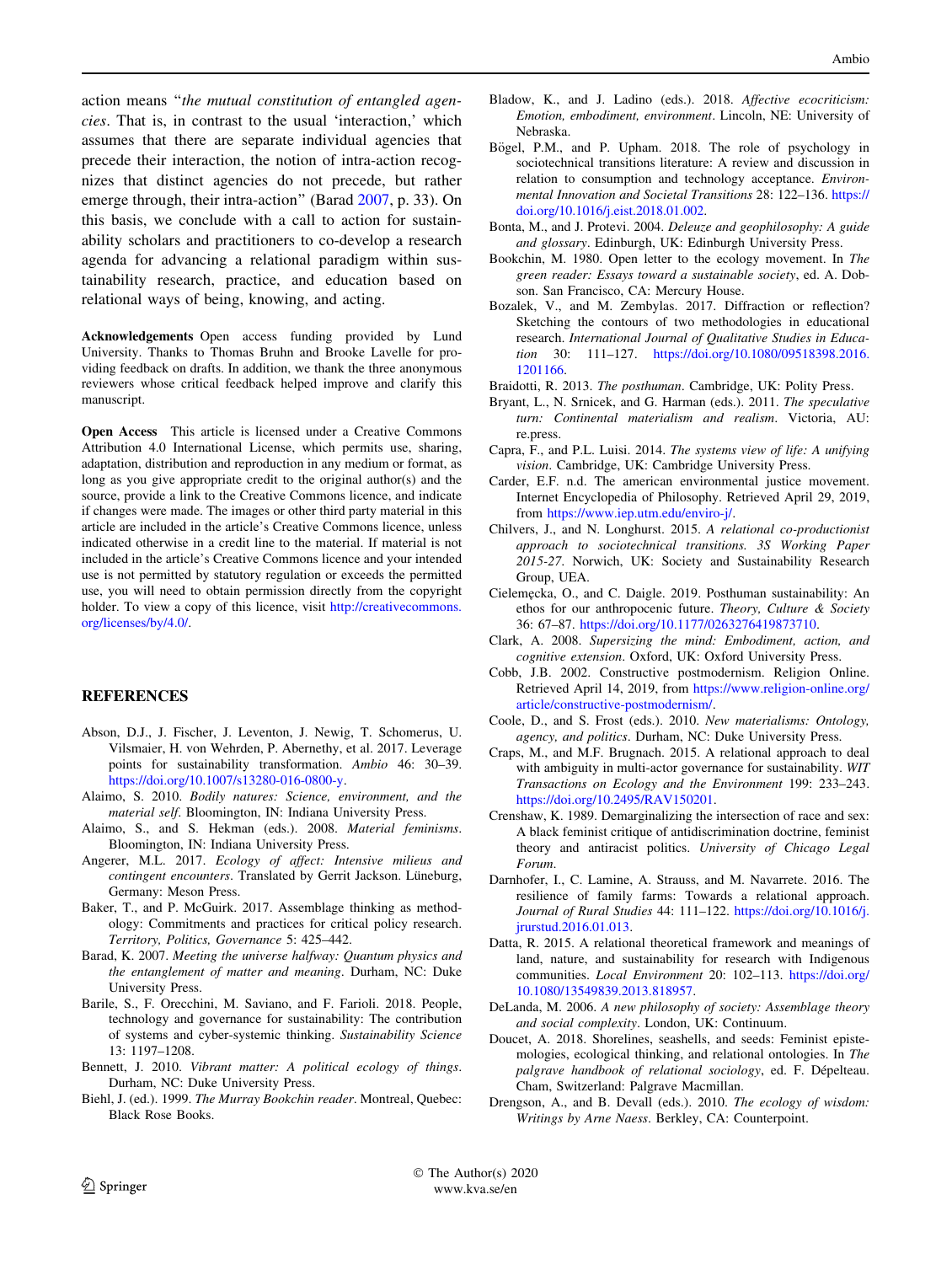<span id="page-7-0"></span>action means ''the mutual constitution of entangled agencies. That is, in contrast to the usual 'interaction,' which assumes that there are separate individual agencies that precede their interaction, the notion of intra-action recognizes that distinct agencies do not precede, but rather emerge through, their intra-action'' (Barad 2007, p. 33). On this basis, we conclude with a call to action for sustainability scholars and practitioners to co-develop a research agenda for advancing a relational paradigm within sustainability research, practice, and education based on relational ways of being, knowing, and acting.

Acknowledgements Open access funding provided by Lund University. Thanks to Thomas Bruhn and Brooke Lavelle for providing feedback on drafts. In addition, we thank the three anonymous reviewers whose critical feedback helped improve and clarify this manuscript.

Open Access This article is licensed under a Creative Commons Attribution 4.0 International License, which permits use, sharing, adaptation, distribution and reproduction in any medium or format, as long as you give appropriate credit to the original author(s) and the source, provide a link to the Creative Commons licence, and indicate if changes were made. The images or other third party material in this article are included in the article's Creative Commons licence, unless indicated otherwise in a credit line to the material. If material is not included in the article's Creative Commons licence and your intended use is not permitted by statutory regulation or exceeds the permitted use, you will need to obtain permission directly from the copyright holder. To view a copy of this licence, visit [http://creativecommons.](http://creativecommons.org/licenses/by/4.0/) [org/licenses/by/4.0/.](http://creativecommons.org/licenses/by/4.0/)

#### **REFERENCES**

- Abson, D.J., J. Fischer, J. Leventon, J. Newig, T. Schomerus, U. Vilsmaier, H. von Wehrden, P. Abernethy, et al. 2017. Leverage points for sustainability transformation. Ambio 46: 30–39. <https://doi.org/10.1007/s13280-016-0800-y>.
- Alaimo, S. 2010. Bodily natures: Science, environment, and the material self. Bloomington, IN: Indiana University Press.
- Alaimo, S., and S. Hekman (eds.). 2008. Material feminisms. Bloomington, IN: Indiana University Press.
- Angerer, M.L. 2017. Ecology of affect: Intensive milieus and contingent encounters. Translated by Gerrit Jackson. Lüneburg, Germany: Meson Press.
- Baker, T., and P. McGuirk. 2017. Assemblage thinking as methodology: Commitments and practices for critical policy research. Territory, Politics, Governance 5: 425–442.
- Barad, K. 2007. Meeting the universe halfway: Quantum physics and the entanglement of matter and meaning. Durham, NC: Duke University Press.
- Barile, S., F. Orecchini, M. Saviano, and F. Farioli. 2018. People, technology and governance for sustainability: The contribution of systems and cyber-systemic thinking. Sustainability Science 13: 1197–1208.
- Bennett, J. 2010. Vibrant matter: A political ecology of things. Durham, NC: Duke University Press.
- Biehl, J. (ed.). 1999. The Murray Bookchin reader. Montreal, Quebec: Black Rose Books.
- Bladow, K., and J. Ladino (eds.). 2018. Affective ecocriticism: Emotion, embodiment, environment. Lincoln, NE: University of Nebraska.
- Bögel, P.M., and P. Upham. 2018. The role of psychology in sociotechnical transitions literature: A review and discussion in relation to consumption and technology acceptance. Environmental Innovation and Societal Transitions 28: 122–136. [https://](https://doi.org/10.1016/j.eist.2018.01.002) [doi.org/10.1016/j.eist.2018.01.002.](https://doi.org/10.1016/j.eist.2018.01.002)
- Bonta, M., and J. Protevi. 2004. Deleuze and geophilosophy: A guide and glossary. Edinburgh, UK: Edinburgh University Press.
- Bookchin, M. 1980. Open letter to the ecology movement. In The green reader: Essays toward a sustainable society, ed. A. Dobson. San Francisco, CA: Mercury House.
- Bozalek, V., and M. Zembylas. 2017. Diffraction or reflection? Sketching the contours of two methodologies in educational research. International Journal of Qualitative Studies in Education 30: 111–127. [https://doi.org/10.1080/09518398.2016.](https://doi.org/10.1080/09518398.2016.1201166) [1201166.](https://doi.org/10.1080/09518398.2016.1201166)
- Braidotti, R. 2013. The posthuman. Cambridge, UK: Polity Press.
- Bryant, L., N. Srnicek, and G. Harman (eds.). 2011. The speculative turn: Continental materialism and realism. Victoria, AU: re.press.
- Capra, F., and P.L. Luisi. 2014. The systems view of life: A unifying vision. Cambridge, UK: Cambridge University Press.
- Carder, E.F. n.d. The american environmental justice movement. Internet Encyclopedia of Philosophy. Retrieved April 29, 2019, from <https://www.iep.utm.edu/enviro-j/>.
- Chilvers, J., and N. Longhurst. 2015. A relational co-productionist approach to sociotechnical transitions. 3S Working Paper 2015-27. Norwich, UK: Society and Sustainability Research Group, UEA.
- Cieleme˛cka, O., and C. Daigle. 2019. Posthuman sustainability: An ethos for our anthropocenic future. Theory, Culture & Society 36: 67–87. [https://doi.org/10.1177/0263276419873710.](https://doi.org/10.1177/0263276419873710)
- Clark, A. 2008. Supersizing the mind: Embodiment, action, and cognitive extension. Oxford, UK: Oxford University Press.
- Cobb, J.B. 2002. Constructive postmodernism. Religion Online. Retrieved April 14, 2019, from [https://www.religion-online.org/](https://www.religion-online.org/article/constructive-postmodernism/) [article/constructive-postmodernism/.](https://www.religion-online.org/article/constructive-postmodernism/)
- Coole, D., and S. Frost (eds.). 2010. New materialisms: Ontology, agency, and politics. Durham, NC: Duke University Press.
- Craps, M., and M.F. Brugnach. 2015. A relational approach to deal with ambiguity in multi-actor governance for sustainability. WIT Transactions on Ecology and the Environment 199: 233–243. [https://doi.org/10.2495/RAV150201.](https://doi.org/10.2495/RAV150201)
- Crenshaw, K. 1989. Demarginalizing the intersection of race and sex: A black feminist critique of antidiscrimination doctrine, feminist theory and antiracist politics. University of Chicago Legal Forum.
- Darnhofer, I., C. Lamine, A. Strauss, and M. Navarrete. 2016. The resilience of family farms: Towards a relational approach. Journal of Rural Studies 44: 111–122. [https://doi.org/10.1016/j.](https://doi.org/10.1016/j.jrurstud.2016.01.013) [jrurstud.2016.01.013](https://doi.org/10.1016/j.jrurstud.2016.01.013).
- Datta, R. 2015. A relational theoretical framework and meanings of land, nature, and sustainability for research with Indigenous communities. Local Environment 20: 102–113. [https://doi.org/](https://doi.org/10.1080/13549839.2013.818957) [10.1080/13549839.2013.818957.](https://doi.org/10.1080/13549839.2013.818957)
- DeLanda, M. 2006. A new philosophy of society: Assemblage theory and social complexity. London, UK: Continuum.
- Doucet, A. 2018. Shorelines, seashells, and seeds: Feminist epistemologies, ecological thinking, and relational ontologies. In The palgrave handbook of relational sociology, ed. F. Dépelteau. Cham, Switzerland: Palgrave Macmillan.
- Drengson, A., and B. Devall (eds.). 2010. The ecology of wisdom: Writings by Arne Naess. Berkley, CA: Counterpoint.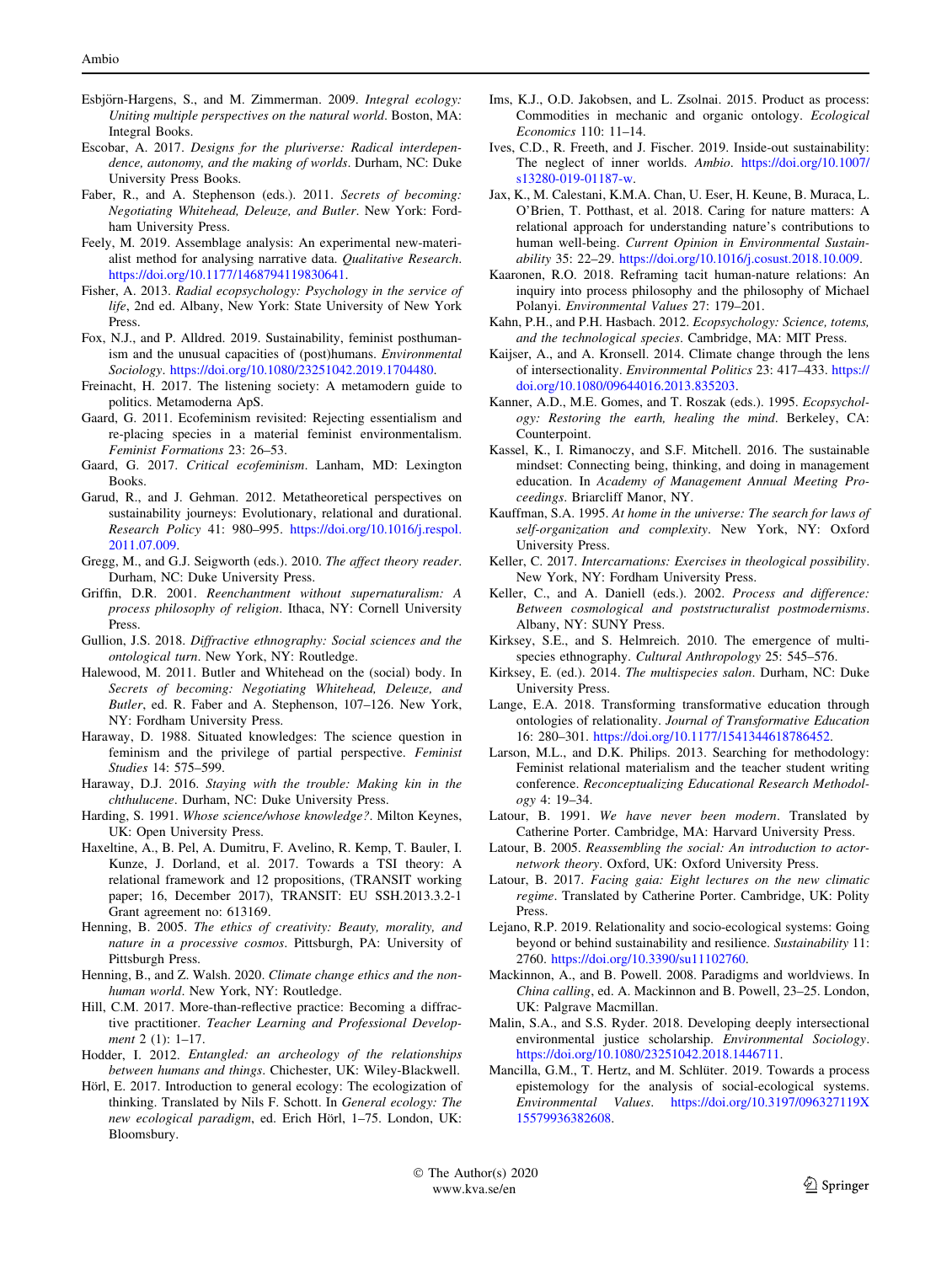- <span id="page-8-0"></span>Esbjörn-Hargens, S., and M. Zimmerman. 2009. Integral ecology: Uniting multiple perspectives on the natural world. Boston, MA: Integral Books.
- Escobar, A. 2017. Designs for the pluriverse: Radical interdependence, autonomy, and the making of worlds. Durham, NC: Duke University Press Books.
- Faber, R., and A. Stephenson (eds.). 2011. Secrets of becoming: Negotiating Whitehead, Deleuze, and Butler. New York: Fordham University Press.
- Feely, M. 2019. Assemblage analysis: An experimental new-materialist method for analysing narrative data. Qualitative Research. [https://doi.org/10.1177/1468794119830641.](https://doi.org/10.1177/1468794119830641)
- Fisher, A. 2013. Radial ecopsychology: Psychology in the service of life, 2nd ed. Albany, New York: State University of New York Press.
- Fox, N.J., and P. Alldred. 2019. Sustainability, feminist posthumanism and the unusual capacities of (post)humans. Environmental Sociology. <https://doi.org/10.1080/23251042.2019.1704480>.
- Freinacht, H. 2017. The listening society: A metamodern guide to politics. Metamoderna ApS.
- Gaard, G. 2011. Ecofeminism revisited: Rejecting essentialism and re-placing species in a material feminist environmentalism. Feminist Formations 23: 26–53.
- Gaard, G. 2017. Critical ecofeminism. Lanham, MD: Lexington Books.
- Garud, R., and J. Gehman. 2012. Metatheoretical perspectives on sustainability journeys: Evolutionary, relational and durational. Research Policy 41: 980–995. [https://doi.org/10.1016/j.respol.](https://doi.org/10.1016/j.respol.2011.07.009) [2011.07.009](https://doi.org/10.1016/j.respol.2011.07.009).
- Gregg, M., and G.J. Seigworth (eds.). 2010. The affect theory reader. Durham, NC: Duke University Press.
- Griffin, D.R. 2001. Reenchantment without supernaturalism: A process philosophy of religion. Ithaca, NY: Cornell University Press.
- Gullion, J.S. 2018. Diffractive ethnography: Social sciences and the ontological turn. New York, NY: Routledge.
- Halewood, M. 2011. Butler and Whitehead on the (social) body. In Secrets of becoming: Negotiating Whitehead, Deleuze, and Butler, ed. R. Faber and A. Stephenson, 107–126. New York, NY: Fordham University Press.
- Haraway, D. 1988. Situated knowledges: The science question in feminism and the privilege of partial perspective. Feminist Studies 14: 575–599.
- Haraway, D.J. 2016. Staying with the trouble: Making kin in the chthulucene. Durham, NC: Duke University Press.
- Harding, S. 1991. Whose science/whose knowledge?. Milton Keynes, UK: Open University Press.
- Haxeltine, A., B. Pel, A. Dumitru, F. Avelino, R. Kemp, T. Bauler, I. Kunze, J. Dorland, et al. 2017. Towards a TSI theory: A relational framework and 12 propositions, (TRANSIT working paper; 16, December 2017), TRANSIT: EU SSH.2013.3.2-1 Grant agreement no: 613169.
- Henning, B. 2005. The ethics of creativity: Beauty, morality, and nature in a processive cosmos. Pittsburgh, PA: University of Pittsburgh Press.
- Henning, B., and Z. Walsh. 2020. Climate change ethics and the nonhuman world. New York, NY: Routledge.
- Hill, C.M. 2017. More-than-reflective practice: Becoming a diffractive practitioner. Teacher Learning and Professional Development 2 (1): 1-17.
- Hodder, I. 2012. Entangled: an archeology of the relationships between humans and things. Chichester, UK: Wiley-Blackwell.
- Hörl, E. 2017. Introduction to general ecology: The ecologization of thinking. Translated by Nils F. Schott. In General ecology: The new ecological paradigm, ed. Erich Hörl, 1–75. London, UK: Bloomsbury.
- Ims, K.J., O.D. Jakobsen, and L. Zsolnai. 2015. Product as process: Commodities in mechanic and organic ontology. Ecological Economics 110: 11–14.
- Ives, C.D., R. Freeth, and J. Fischer. 2019. Inside-out sustainability: The neglect of inner worlds. Ambio. [https://doi.org/10.1007/](https://doi.org/10.1007/s13280-019-01187-w) [s13280-019-01187-w](https://doi.org/10.1007/s13280-019-01187-w).
- Jax, K., M. Calestani, K.M.A. Chan, U. Eser, H. Keune, B. Muraca, L. O'Brien, T. Potthast, et al. 2018. Caring for nature matters: A relational approach for understanding nature's contributions to human well-being. Current Opinion in Environmental Sustainability 35: 22–29. [https://doi.org/10.1016/j.cosust.2018.10.009.](https://doi.org/10.1016/j.cosust.2018.10.009)
- Kaaronen, R.O. 2018. Reframing tacit human-nature relations: An inquiry into process philosophy and the philosophy of Michael Polanyi. Environmental Values 27: 179–201.
- Kahn, P.H., and P.H. Hasbach. 2012. Ecopsychology: Science, totems, and the technological species. Cambridge, MA: MIT Press.
- Kaijser, A., and A. Kronsell. 2014. Climate change through the lens of intersectionality. Environmental Politics 23: 417–433. [https://](https://doi.org/10.1080/09644016.2013.835203) [doi.org/10.1080/09644016.2013.835203](https://doi.org/10.1080/09644016.2013.835203).
- Kanner, A.D., M.E. Gomes, and T. Roszak (eds.). 1995. Ecopsychology: Restoring the earth, healing the mind. Berkeley, CA: Counterpoint.
- Kassel, K., I. Rimanoczy, and S.F. Mitchell. 2016. The sustainable mindset: Connecting being, thinking, and doing in management education. In Academy of Management Annual Meeting Proceedings. Briarcliff Manor, NY.
- Kauffman, S.A. 1995. At home in the universe: The search for laws of self-organization and complexity. New York, NY: Oxford University Press.
- Keller, C. 2017. Intercarnations: Exercises in theological possibility. New York, NY: Fordham University Press.
- Keller, C., and A. Daniell (eds.). 2002. Process and difference: Between cosmological and poststructuralist postmodernisms. Albany, NY: SUNY Press.
- Kirksey, S.E., and S. Helmreich. 2010. The emergence of multispecies ethnography. Cultural Anthropology 25: 545–576.
- Kirksey, E. (ed.). 2014. The multispecies salon. Durham, NC: Duke University Press.
- Lange, E.A. 2018. Transforming transformative education through ontologies of relationality. Journal of Transformative Education 16: 280–301. <https://doi.org/10.1177/1541344618786452>.
- Larson, M.L., and D.K. Philips. 2013. Searching for methodology: Feminist relational materialism and the teacher student writing conference. Reconceptualizing Educational Research Methodology 4: 19–34.
- Latour, B. 1991. We have never been modern. Translated by Catherine Porter. Cambridge, MA: Harvard University Press.
- Latour, B. 2005. Reassembling the social: An introduction to actornetwork theory. Oxford, UK: Oxford University Press.
- Latour, B. 2017. Facing gaia: Eight lectures on the new climatic regime. Translated by Catherine Porter. Cambridge, UK: Polity Press.
- Lejano, R.P. 2019. Relationality and socio-ecological systems: Going beyond or behind sustainability and resilience. Sustainability 11: 2760. [https://doi.org/10.3390/su11102760.](https://doi.org/10.3390/su11102760)
- Mackinnon, A., and B. Powell. 2008. Paradigms and worldviews. In China calling, ed. A. Mackinnon and B. Powell, 23–25. London, UK: Palgrave Macmillan.
- Malin, S.A., and S.S. Ryder. 2018. Developing deeply intersectional environmental justice scholarship. Environmental Sociology. <https://doi.org/10.1080/23251042.2018.1446711>.
- Mancilla, G.M., T. Hertz, and M. Schlüter. 2019. Towards a process epistemology for the analysis of social-ecological systems. Environmental Values. [https://doi.org/10.3197/096327119X](https://doi.org/10.3197/096327119X15579936382608) [15579936382608](https://doi.org/10.3197/096327119X15579936382608).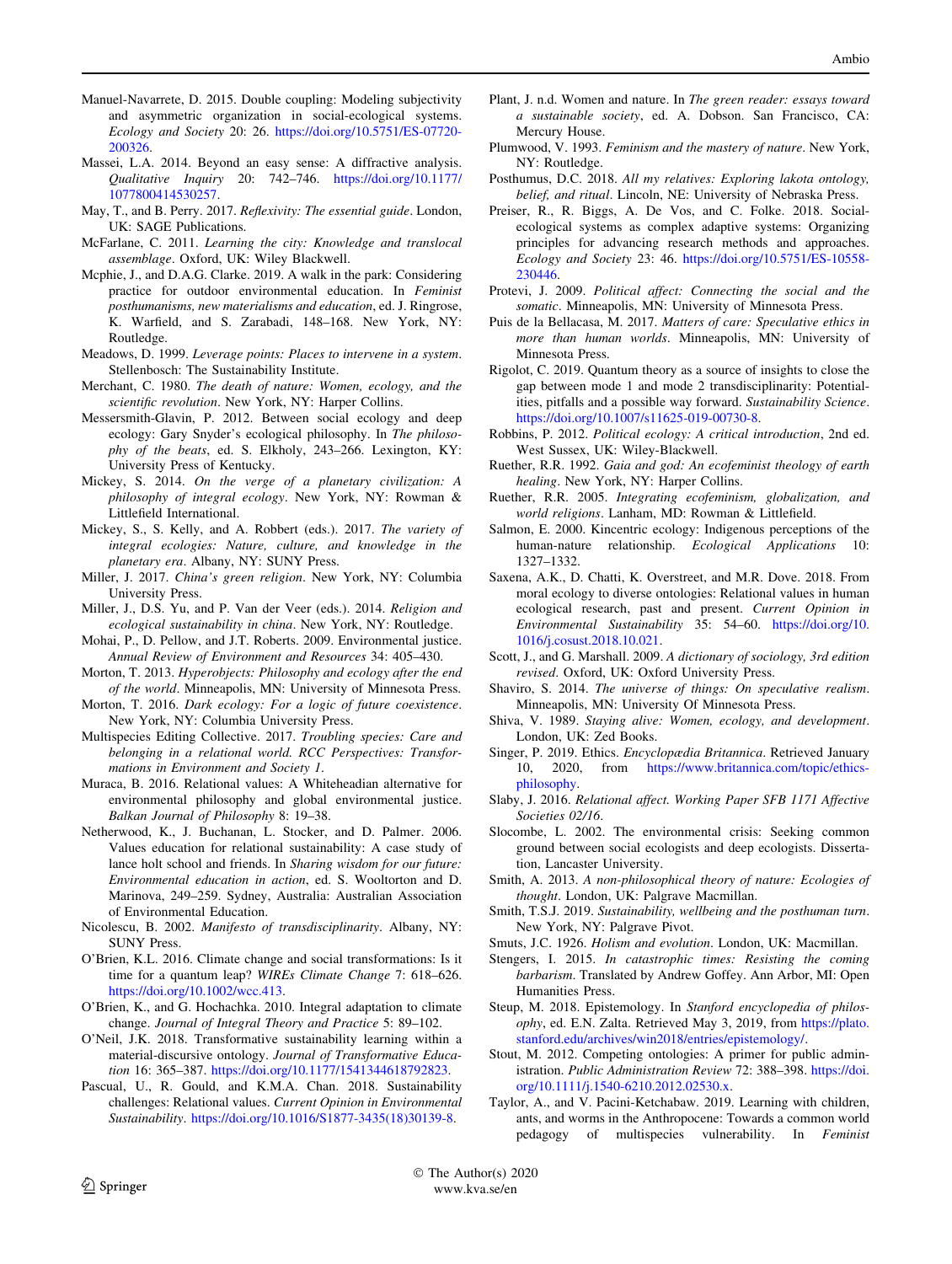- <span id="page-9-0"></span>Manuel-Navarrete, D. 2015. Double coupling: Modeling subjectivity and asymmetric organization in social-ecological systems. Ecology and Society 20: 26. [https://doi.org/10.5751/ES-07720-](https://doi.org/10.5751/ES-07720-200326) [200326](https://doi.org/10.5751/ES-07720-200326).
- Massei, L.A. 2014. Beyond an easy sense: A diffractive analysis. Qualitative Inquiry 20: 742–746. [https://doi.org/10.1177/](https://doi.org/10.1177/1077800414530257) [1077800414530257.](https://doi.org/10.1177/1077800414530257)
- May, T., and B. Perry. 2017. Reflexivity: The essential guide. London, UK: SAGE Publications.
- McFarlane, C. 2011. Learning the city: Knowledge and translocal assemblage. Oxford, UK: Wiley Blackwell.
- Mcphie, J., and D.A.G. Clarke. 2019. A walk in the park: Considering practice for outdoor environmental education. In Feminist posthumanisms, new materialisms and education, ed. J. Ringrose, K. Warfield, and S. Zarabadi, 148–168. New York, NY: Routledge.
- Meadows, D. 1999. Leverage points: Places to intervene in a system. Stellenbosch: The Sustainability Institute.
- Merchant, C. 1980. The death of nature: Women, ecology, and the scientific revolution. New York, NY: Harper Collins.
- Messersmith-Glavin, P. 2012. Between social ecology and deep ecology: Gary Snyder's ecological philosophy. In The philosophy of the beats, ed. S. Elkholy, 243–266. Lexington, KY: University Press of Kentucky.
- Mickey, S. 2014. On the verge of a planetary civilization: A philosophy of integral ecology. New York, NY: Rowman & Littlefield International.
- Mickey, S., S. Kelly, and A. Robbert (eds.). 2017. The variety of integral ecologies: Nature, culture, and knowledge in the planetary era. Albany, NY: SUNY Press.
- Miller, J. 2017. China's green religion. New York, NY: Columbia University Press.
- Miller, J., D.S. Yu, and P. Van der Veer (eds.). 2014. Religion and ecological sustainability in china. New York, NY: Routledge.
- Mohai, P., D. Pellow, and J.T. Roberts. 2009. Environmental justice. Annual Review of Environment and Resources 34: 405–430.
- Morton, T. 2013. Hyperobjects: Philosophy and ecology after the end of the world. Minneapolis, MN: University of Minnesota Press.
- Morton, T. 2016. Dark ecology: For a logic of future coexistence. New York, NY: Columbia University Press.
- Multispecies Editing Collective. 2017. Troubling species: Care and belonging in a relational world. RCC Perspectives: Transformations in Environment and Society 1.
- Muraca, B. 2016. Relational values: A Whiteheadian alternative for environmental philosophy and global environmental justice. Balkan Journal of Philosophy 8: 19–38.
- Netherwood, K., J. Buchanan, L. Stocker, and D. Palmer. 2006. Values education for relational sustainability: A case study of lance holt school and friends. In Sharing wisdom for our future: Environmental education in action, ed. S. Wooltorton and D. Marinova, 249–259. Sydney, Australia: Australian Association of Environmental Education.
- Nicolescu, B. 2002. Manifesto of transdisciplinarity. Albany, NY: SUNY Press.
- O'Brien, K.L. 2016. Climate change and social transformations: Is it time for a quantum leap? WIREs Climate Change 7: 618–626. [https://doi.org/10.1002/wcc.413.](https://doi.org/10.1002/wcc.413)
- O'Brien, K., and G. Hochachka. 2010. Integral adaptation to climate change. Journal of Integral Theory and Practice 5: 89–102.
- O'Neil, J.K. 2018. Transformative sustainability learning within a material-discursive ontology. Journal of Transformative Education 16: 365–387. <https://doi.org/10.1177/1541344618792823>.
- Pascual, U., R. Gould, and K.M.A. Chan. 2018. Sustainability challenges: Relational values. Current Opinion in Environmental Sustainability. [https://doi.org/10.1016/S1877-3435\(18\)30139-8.](https://doi.org/10.1016/S1877-3435(18)30139-8)
- Plant, J. n.d. Women and nature. In The green reader: essays toward a sustainable society, ed. A. Dobson. San Francisco, CA: Mercury House.
- Plumwood, V. 1993. Feminism and the mastery of nature. New York, NY: Routledge.
- Posthumus, D.C. 2018. All my relatives: Exploring lakota ontology, belief, and ritual. Lincoln, NE: University of Nebraska Press.
- Preiser, R., R. Biggs, A. De Vos, and C. Folke. 2018. Socialecological systems as complex adaptive systems: Organizing principles for advancing research methods and approaches. Ecology and Society 23: 46. [https://doi.org/10.5751/ES-10558-](https://doi.org/10.5751/ES-10558-230446) [230446.](https://doi.org/10.5751/ES-10558-230446)
- Protevi, J. 2009. Political affect: Connecting the social and the somatic. Minneapolis, MN: University of Minnesota Press.
- Puis de la Bellacasa, M. 2017. Matters of care: Speculative ethics in more than human worlds. Minneapolis, MN: University of Minnesota Press.
- Rigolot, C. 2019. Quantum theory as a source of insights to close the gap between mode 1 and mode 2 transdisciplinarity: Potentialities, pitfalls and a possible way forward. Sustainability Science. <https://doi.org/10.1007/s11625-019-00730-8>.
- Robbins, P. 2012. Political ecology: A critical introduction, 2nd ed. West Sussex, UK: Wiley-Blackwell.
- Ruether, R.R. 1992. Gaia and god: An ecofeminist theology of earth healing. New York, NY: Harper Collins.
- Ruether, R.R. 2005. Integrating ecofeminism, globalization, and world religions. Lanham, MD: Rowman & Littlefield.
- Salmon, E. 2000. Kincentric ecology: Indigenous perceptions of the human-nature relationship. Ecological Applications 10: 1327–1332.
- Saxena, A.K., D. Chatti, K. Overstreet, and M.R. Dove. 2018. From moral ecology to diverse ontologies: Relational values in human ecological research, past and present. Current Opinion in Environmental Sustainability 35: 54–60. [https://doi.org/10.](https://doi.org/10.1016/j.cosust.2018.10.021) [1016/j.cosust.2018.10.021.](https://doi.org/10.1016/j.cosust.2018.10.021)
- Scott, J., and G. Marshall. 2009. A dictionary of sociology, 3rd edition revised. Oxford, UK: Oxford University Press.
- Shaviro, S. 2014. The universe of things: On speculative realism. Minneapolis, MN: University Of Minnesota Press.
- Shiva, V. 1989. Staying alive: Women, ecology, and development. London, UK: Zed Books.
- Singer, P. 2019. Ethics. Encyclopædia Britannica. Retrieved January 10, 2020, from [https://www.britannica.com/topic/ethics](https://www.britannica.com/topic/ethics-philosophy)[philosophy.](https://www.britannica.com/topic/ethics-philosophy)
- Slaby, J. 2016. Relational affect. Working Paper SFB 1171 Affective Societies 02/16.
- Slocombe, L. 2002. The environmental crisis: Seeking common ground between social ecologists and deep ecologists. Dissertation, Lancaster University.
- Smith, A. 2013. A non-philosophical theory of nature: Ecologies of thought. London, UK: Palgrave Macmillan.
- Smith, T.S.J. 2019. Sustainability, wellbeing and the posthuman turn. New York, NY: Palgrave Pivot.
- Smuts, J.C. 1926. Holism and evolution. London, UK: Macmillan.
- Stengers, I. 2015. In catastrophic times: Resisting the coming barbarism. Translated by Andrew Goffey. Ann Arbor, MI: Open Humanities Press.
- Steup, M. 2018. Epistemology. In Stanford encyclopedia of philosophy, ed. E.N. Zalta. Retrieved May 3, 2019, from [https://plato.](https://plato.stanford.edu/archives/win2018/entries/epistemology/) [stanford.edu/archives/win2018/entries/epistemology/.](https://plato.stanford.edu/archives/win2018/entries/epistemology/)
- Stout, M. 2012. Competing ontologies: A primer for public administration. Public Administration Review 72: 388–398. [https://doi.](https://doi.org/10.1111/j.1540-6210.2012.02530.x) [org/10.1111/j.1540-6210.2012.02530.x.](https://doi.org/10.1111/j.1540-6210.2012.02530.x)
- Taylor, A., and V. Pacini-Ketchabaw. 2019. Learning with children, ants, and worms in the Anthropocene: Towards a common world pedagogy of multispecies vulnerability. In Feminist

 The Author(s) 2020 www.kva.se/en